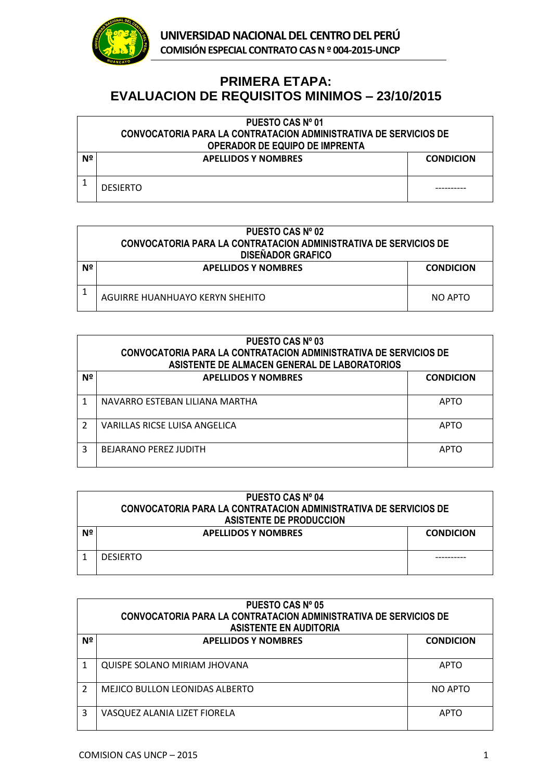

## **PRIMERA ETAPA: EVALUACION DE REQUISITOS MINIMOS – 23/10/2015**

|    | PUESTO CAS Nº 01                                                        |                  |  |
|----|-------------------------------------------------------------------------|------------------|--|
|    | <b>CONVOCATORIA PARA LA CONTRATACION ADMINISTRATIVA DE SERVICIOS DE</b> |                  |  |
|    | <b>OPERADOR DE EQUIPO DE IMPRENTA</b>                                   |                  |  |
| Nº | <b>APELLIDOS Y NOMBRES</b>                                              | <b>CONDICION</b> |  |
|    |                                                                         |                  |  |
|    | <b>DESIERTO</b>                                                         |                  |  |

|    | PUESTO CAS Nº 02<br>CONVOCATORIA PARA LA CONTRATACION ADMINISTRATIVA DE SERVICIOS DE<br><b>DISEÑADOR GRAFICO</b> |                  |  |
|----|------------------------------------------------------------------------------------------------------------------|------------------|--|
| Nº | <b>APELLIDOS Y NOMBRES</b>                                                                                       | <b>CONDICION</b> |  |
|    | AGUIRRE HUANHUAYO KERYN SHEHITO                                                                                  | NO APTO          |  |

| PUESTO CAS Nº 03<br>CONVOCATORIA PARA LA CONTRATACION ADMINISTRATIVA DE SERVICIOS DE<br>ASISTENTE DE ALMACEN GENERAL DE LABORATORIOS |                                |                  |
|--------------------------------------------------------------------------------------------------------------------------------------|--------------------------------|------------------|
| Nº                                                                                                                                   | <b>APELLIDOS Y NOMBRES</b>     | <b>CONDICION</b> |
|                                                                                                                                      | NAVARRO ESTEBAN LILIANA MARTHA | <b>APTO</b>      |
| 2                                                                                                                                    | VARILLAS RICSE LUISA ANGELICA  | <b>APTO</b>      |
| 3                                                                                                                                    | <b>BEJARANO PEREZ JUDITH</b>   | <b>APTO</b>      |

|    | <b>PUESTO CAS Nº 04</b><br>CONVOCATORIA PARA LA CONTRATACION ADMINISTRATIVA DE SERVICIOS DE<br><b>ASISTENTE DE PRODUCCION</b> |                  |  |
|----|-------------------------------------------------------------------------------------------------------------------------------|------------------|--|
| Nº | <b>APELLIDOS Y NOMBRES</b>                                                                                                    | <b>CONDICION</b> |  |
|    | <b>DESIFRTO</b>                                                                                                               |                  |  |

| PUESTO CAS Nº 05 |                                                                                                   |                  |  |
|------------------|---------------------------------------------------------------------------------------------------|------------------|--|
|                  | CONVOCATORIA PARA LA CONTRATACION ADMINISTRATIVA DE SERVICIOS DE<br><b>ASISTENTE EN AUDITORIA</b> |                  |  |
| Nº               | <b>APELLIDOS Y NOMBRES</b>                                                                        | <b>CONDICION</b> |  |
|                  |                                                                                                   |                  |  |
|                  | <b>QUISPE SOLANO MIRIAM JHOVANA</b>                                                               | <b>APTO</b>      |  |
| 2                | <b>MEJICO BULLON LEONIDAS ALBERTO</b>                                                             | NO APTO          |  |
| 3                | VASQUEZ ALANIA LIZET FIORELA                                                                      | APTO             |  |